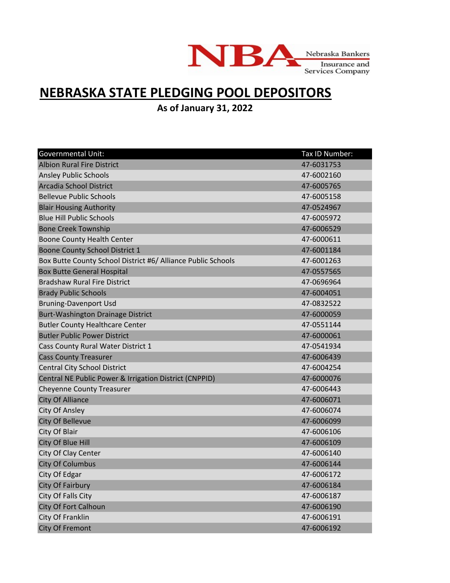

## **NEBRASKA STATE PLEDGING POOL DEPOSITORS**

**As of January 31, 2022**

| <b>Governmental Unit:</b>                                    | Tax ID Number: |
|--------------------------------------------------------------|----------------|
| <b>Albion Rural Fire District</b>                            | 47-6031753     |
| <b>Ansley Public Schools</b>                                 | 47-6002160     |
| Arcadia School District                                      | 47-6005765     |
| <b>Bellevue Public Schools</b>                               | 47-6005158     |
| <b>Blair Housing Authority</b>                               | 47-0524967     |
| <b>Blue Hill Public Schools</b>                              | 47-6005972     |
| <b>Bone Creek Township</b>                                   | 47-6006529     |
| <b>Boone County Health Center</b>                            | 47-6000611     |
| <b>Boone County School District 1</b>                        | 47-6001184     |
| Box Butte County School District #6/ Alliance Public Schools | 47-6001263     |
| <b>Box Butte General Hospital</b>                            | 47-0557565     |
| <b>Bradshaw Rural Fire District</b>                          | 47-0696964     |
| <b>Brady Public Schools</b>                                  | 47-6004051     |
| <b>Bruning-Davenport Usd</b>                                 | 47-0832522     |
| <b>Burt-Washington Drainage District</b>                     | 47-6000059     |
| <b>Butler County Healthcare Center</b>                       | 47-0551144     |
| <b>Butler Public Power District</b>                          | 47-6000061     |
| Cass County Rural Water District 1                           | 47-0541934     |
| <b>Cass County Treasurer</b>                                 | 47-6006439     |
| <b>Central City School District</b>                          | 47-6004254     |
| Central NE Public Power & Irrigation District (CNPPID)       | 47-6000076     |
| <b>Cheyenne County Treasurer</b>                             | 47-6006443     |
| <b>City Of Alliance</b>                                      | 47-6006071     |
| <b>City Of Ansley</b>                                        | 47-6006074     |
| <b>City Of Bellevue</b>                                      | 47-6006099     |
| City Of Blair                                                | 47-6006106     |
| City Of Blue Hill                                            | 47-6006109     |
| City Of Clay Center                                          | 47-6006140     |
| <b>City Of Columbus</b>                                      | 47-6006144     |
| City Of Edgar                                                | 47-6006172     |
| <b>City Of Fairbury</b>                                      | 47-6006184     |
| City Of Falls City                                           | 47-6006187     |
| City Of Fort Calhoun                                         | 47-6006190     |
| City Of Franklin                                             | 47-6006191     |
| <b>City Of Fremont</b>                                       | 47-6006192     |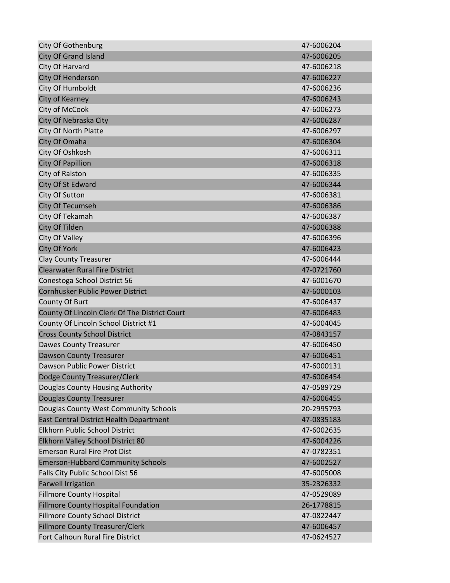| <b>City Of Gothenburg</b>                     | 47-6006204 |
|-----------------------------------------------|------------|
| <b>City Of Grand Island</b>                   | 47-6006205 |
| City Of Harvard                               | 47-6006218 |
| City Of Henderson                             | 47-6006227 |
| City Of Humboldt                              | 47-6006236 |
| City of Kearney                               | 47-6006243 |
| City of McCook                                | 47-6006273 |
| City Of Nebraska City                         | 47-6006287 |
| City Of North Platte                          | 47-6006297 |
| City Of Omaha                                 | 47-6006304 |
| City Of Oshkosh                               | 47-6006311 |
| <b>City Of Papillion</b>                      | 47-6006318 |
| City of Ralston                               | 47-6006335 |
| City Of St Edward                             | 47-6006344 |
| City Of Sutton                                | 47-6006381 |
| <b>City Of Tecumseh</b>                       | 47-6006386 |
| City Of Tekamah                               | 47-6006387 |
| City Of Tilden                                | 47-6006388 |
| City Of Valley                                | 47-6006396 |
| <b>City Of York</b>                           | 47-6006423 |
| <b>Clay County Treasurer</b>                  | 47-6006444 |
| <b>Clearwater Rural Fire District</b>         | 47-0721760 |
| Conestoga School District 56                  | 47-6001670 |
| Cornhusker Public Power District              | 47-6000103 |
| County Of Burt                                | 47-6006437 |
| County Of Lincoln Clerk Of The District Court | 47-6006483 |
| County Of Lincoln School District #1          | 47-6004045 |
| <b>Cross County School District</b>           | 47-0843157 |
| <b>Dawes County Treasurer</b>                 | 47-6006450 |
| <b>Dawson County Treasurer</b>                | 47-6006451 |
| Dawson Public Power District                  | 47-6000131 |
| Dodge County Treasurer/Clerk                  | 47-6006454 |
| Douglas County Housing Authority              | 47-0589729 |
| <b>Douglas County Treasurer</b>               | 47-6006455 |
| Douglas County West Community Schools         | 20-2995793 |
| East Central District Health Department       | 47-0835183 |
| Elkhorn Public School District                | 47-6002635 |
| Elkhorn Valley School District 80             | 47-6004226 |
| <b>Emerson Rural Fire Prot Dist</b>           | 47-0782351 |
| <b>Emerson-Hubbard Community Schools</b>      | 47-6002527 |
| Falls City Public School Dist 56              | 47-6005008 |
| <b>Farwell Irrigation</b>                     | 35-2326332 |
| <b>Fillmore County Hospital</b>               | 47-0529089 |
| <b>Fillmore County Hospital Foundation</b>    | 26-1778815 |
| <b>Fillmore County School District</b>        | 47-0822447 |
| <b>Fillmore County Treasurer/Clerk</b>        | 47-6006457 |
| Fort Calhoun Rural Fire District              | 47-0624527 |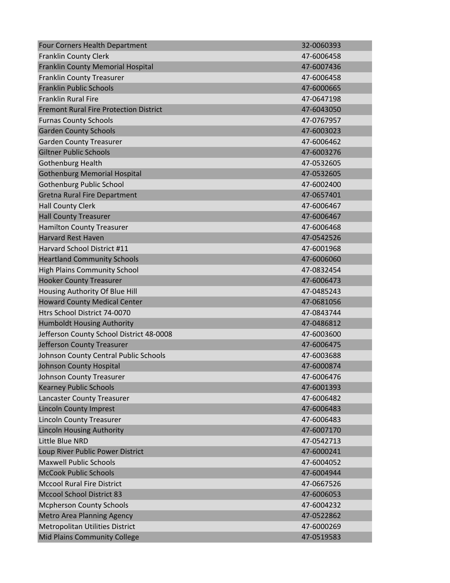| Four Corners Health Department                | 32-0060393 |
|-----------------------------------------------|------------|
| <b>Franklin County Clerk</b>                  | 47-6006458 |
| Franklin County Memorial Hospital             | 47-6007436 |
| <b>Franklin County Treasurer</b>              | 47-6006458 |
| <b>Franklin Public Schools</b>                | 47-6000665 |
| <b>Franklin Rural Fire</b>                    | 47-0647198 |
| <b>Fremont Rural Fire Protection District</b> | 47-6043050 |
| <b>Furnas County Schools</b>                  | 47-0767957 |
| <b>Garden County Schools</b>                  | 47-6003023 |
| <b>Garden County Treasurer</b>                | 47-6006462 |
| <b>Giltner Public Schools</b>                 | 47-6003276 |
| Gothenburg Health                             | 47-0532605 |
| <b>Gothenburg Memorial Hospital</b>           | 47-0532605 |
| <b>Gothenburg Public School</b>               | 47-6002400 |
| <b>Gretna Rural Fire Department</b>           | 47-0657401 |
| <b>Hall County Clerk</b>                      | 47-6006467 |
| <b>Hall County Treasurer</b>                  | 47-6006467 |
| <b>Hamilton County Treasurer</b>              | 47-6006468 |
| <b>Harvard Rest Haven</b>                     | 47-0542526 |
| Harvard School District #11                   | 47-6001968 |
| <b>Heartland Community Schools</b>            | 47-6006060 |
| <b>High Plains Community School</b>           | 47-0832454 |
| <b>Hooker County Treasurer</b>                | 47-6006473 |
| Housing Authority Of Blue Hill                | 47-0485243 |
| <b>Howard County Medical Center</b>           | 47-0681056 |
| Htrs School District 74-0070                  | 47-0843744 |
| <b>Humboldt Housing Authority</b>             | 47-0486812 |
| Jefferson County School District 48-0008      | 47-6003600 |
| Jefferson County Treasurer                    | 47-6006475 |
| Johnson County Central Public Schools         | 47-6003688 |
| <b>Johnson County Hospital</b>                | 47-6000874 |
| <b>Johnson County Treasurer</b>               | 47-6006476 |
| <b>Kearney Public Schools</b>                 | 47-6001393 |
| Lancaster County Treasurer                    | 47-6006482 |
| <b>Lincoln County Imprest</b>                 | 47-6006483 |
| <b>Lincoln County Treasurer</b>               | 47-6006483 |
| <b>Lincoln Housing Authority</b>              | 47-6007170 |
| Little Blue NRD                               | 47-0542713 |
| Loup River Public Power District              | 47-6000241 |
| <b>Maxwell Public Schools</b>                 | 47-6004052 |
| <b>McCook Public Schools</b>                  | 47-6004944 |
| <b>Mccool Rural Fire District</b>             | 47-0667526 |
| <b>Mccool School District 83</b>              | 47-6006053 |
| <b>Mcpherson County Schools</b>               | 47-6004232 |
| <b>Metro Area Planning Agency</b>             | 47-0522862 |
| <b>Metropolitan Utilities District</b>        | 47-6000269 |
| Mid Plains Community College                  | 47-0519583 |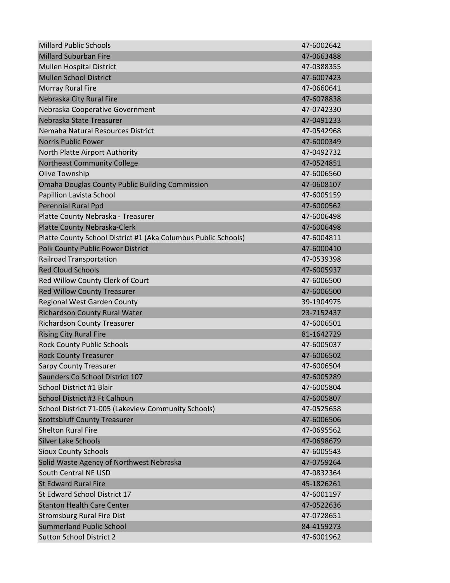| <b>Millard Public Schools</b>                                  | 47-6002642 |
|----------------------------------------------------------------|------------|
| <b>Millard Suburban Fire</b>                                   | 47-0663488 |
| <b>Mullen Hospital District</b>                                | 47-0388355 |
| <b>Mullen School District</b>                                  | 47-6007423 |
| <b>Murray Rural Fire</b>                                       | 47-0660641 |
| Nebraska City Rural Fire                                       | 47-6078838 |
| Nebraska Cooperative Government                                | 47-0742330 |
| Nebraska State Treasurer                                       | 47-0491233 |
| Nemaha Natural Resources District                              | 47-0542968 |
| <b>Norris Public Power</b>                                     | 47-6000349 |
| North Platte Airport Authority                                 | 47-0492732 |
| <b>Northeast Community College</b>                             | 47-0524851 |
| Olive Township                                                 | 47-6006560 |
| <b>Omaha Douglas County Public Building Commission</b>         | 47-0608107 |
| Papillion Lavista School                                       | 47-6005159 |
| <b>Perennial Rural Ppd</b>                                     | 47-6000562 |
| Platte County Nebraska - Treasurer                             | 47-6006498 |
| Platte County Nebraska-Clerk                                   | 47-6006498 |
| Platte County School District #1 (Aka Columbus Public Schools) | 47-6004811 |
| Polk County Public Power District                              | 47-6000410 |
| <b>Railroad Transportation</b>                                 | 47-0539398 |
| <b>Red Cloud Schools</b>                                       | 47-6005937 |
| Red Willow County Clerk of Court                               | 47-6006500 |
| <b>Red Willow County Treasurer</b>                             | 47-6006500 |
| <b>Regional West Garden County</b>                             | 39-1904975 |
| Richardson County Rural Water                                  | 23-7152437 |
| <b>Richardson County Treasurer</b>                             | 47-6006501 |
| <b>Rising City Rural Fire</b>                                  | 81-1642729 |
| <b>Rock County Public Schools</b>                              | 47-6005037 |
| <b>Rock County Treasurer</b>                                   | 47-6006502 |
| <b>Sarpy County Treasurer</b>                                  | 47-6006504 |
| Saunders Co School District 107                                | 47-6005289 |
| School District #1 Blair                                       | 47-6005804 |
| School District #3 Ft Calhoun                                  | 47-6005807 |
| School District 71-005 (Lakeview Community Schools)            | 47-0525658 |
| <b>Scottsbluff County Treasurer</b>                            | 47-6006506 |
| <b>Shelton Rural Fire</b>                                      | 47-0695562 |
| <b>Silver Lake Schools</b>                                     | 47-0698679 |
| <b>Sioux County Schools</b>                                    | 47-6005543 |
| Solid Waste Agency of Northwest Nebraska                       | 47-0759264 |
| South Central NE USD                                           | 47-0832364 |
| <b>St Edward Rural Fire</b>                                    | 45-1826261 |
| St Edward School District 17                                   | 47-6001197 |
| <b>Stanton Health Care Center</b>                              | 47-0522636 |
| <b>Stromsburg Rural Fire Dist</b>                              | 47-0728651 |
| <b>Summerland Public School</b>                                | 84-4159273 |
| <b>Sutton School District 2</b>                                | 47-6001962 |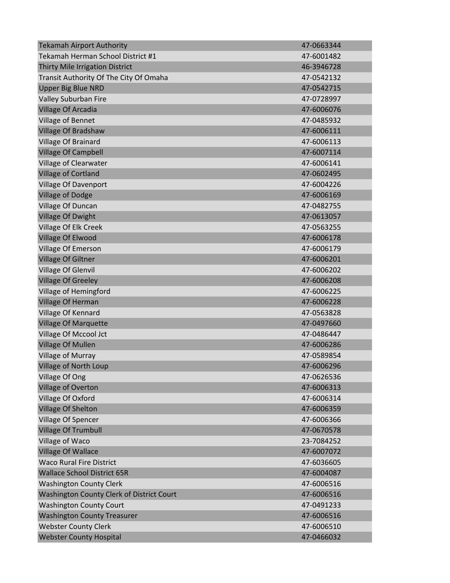| <b>Tekamah Airport Authority</b>          | 47-0663344 |
|-------------------------------------------|------------|
| Tekamah Herman School District #1         | 47-6001482 |
| Thirty Mile Irrigation District           | 46-3946728 |
| Transit Authority Of The City Of Omaha    | 47-0542132 |
| <b>Upper Big Blue NRD</b>                 | 47-0542715 |
| Valley Suburban Fire                      | 47-0728997 |
| Village Of Arcadia                        | 47-6006076 |
| Village of Bennet                         | 47-0485932 |
| Village Of Bradshaw                       | 47-6006111 |
| Village Of Brainard                       | 47-6006113 |
| <b>Village Of Campbell</b>                | 47-6007114 |
| Village of Clearwater                     | 47-6006141 |
| Village of Cortland                       | 47-0602495 |
| Village Of Davenport                      | 47-6004226 |
| <b>Village of Dodge</b>                   | 47-6006169 |
| Village Of Duncan                         | 47-0482755 |
| <b>Village Of Dwight</b>                  | 47-0613057 |
| Village Of Elk Creek                      | 47-0563255 |
| Village Of Elwood                         | 47-6006178 |
| Village Of Emerson                        | 47-6006179 |
| <b>Village Of Giltner</b>                 | 47-6006201 |
| <b>Village Of Glenvil</b>                 | 47-6006202 |
| <b>Village Of Greeley</b>                 | 47-6006208 |
| Village of Hemingford                     | 47-6006225 |
| Village Of Herman                         | 47-6006228 |
| Village Of Kennard                        | 47-0563828 |
| <b>Village Of Marquette</b>               | 47-0497660 |
| Village Of Mccool Jct                     | 47-0486447 |
| Village Of Mullen                         | 47-6006286 |
| Village of Murray                         | 47-0589854 |
| <b>Village of North Loup</b>              | 47-6006296 |
| Village Of Ong                            | 47-0626536 |
| <b>Village of Overton</b>                 | 47-6006313 |
| Village Of Oxford                         | 47-6006314 |
| <b>Village Of Shelton</b>                 | 47-6006359 |
| Village Of Spencer                        | 47-6006366 |
| Village Of Trumbull                       | 47-0670578 |
| Village of Waco                           | 23-7084252 |
| <b>Village Of Wallace</b>                 | 47-6007072 |
| <b>Waco Rural Fire District</b>           | 47-6036605 |
| <b>Wallace School District 65R</b>        | 47-6004087 |
| <b>Washington County Clerk</b>            | 47-6006516 |
| Washington County Clerk of District Court | 47-6006516 |
| <b>Washington County Court</b>            | 47-0491233 |
| <b>Washington County Treasurer</b>        | 47-6006516 |
| <b>Webster County Clerk</b>               | 47-6006510 |
| <b>Webster County Hospital</b>            | 47-0466032 |